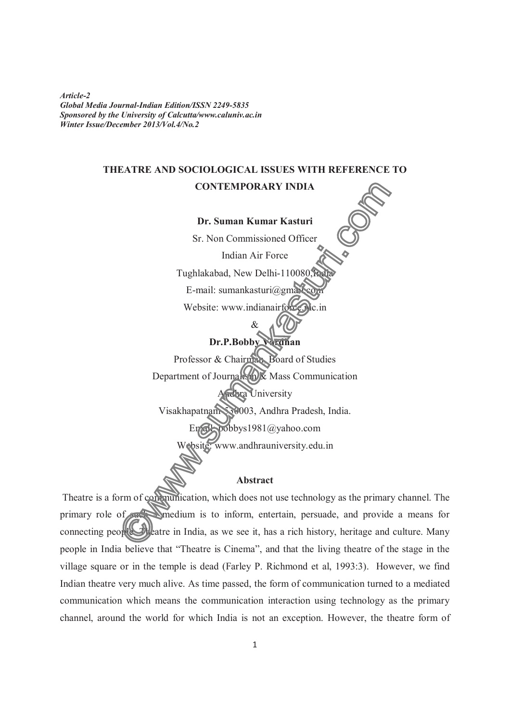*Article-2 Global Media Journal-Indian Edition/ISSN 2249-5835 Sponsored by the University of Calcutta/www.caluniv.ac.in Winter Issue/December 2013/Vol.4/No.2* 

## **THEATRE AND SOCIOLOGICAL ISSUES WITH REFERENCE TO**

## **CONTEMPORARY INDIA**

**Dr. Suman Kumar Kasturi** 

Sr. Non Commissioned Officer

Indian Air Force Tughlakabad, New Delhi-110080, E-mail: sumankasturi@gma Website: www.indianair

&

# **Dr.P.Bobby Vardhan**

Professor & Chairman, Board of Studies Department of Journalism & Mass Communication **Ara** University Visakhapatnam-530003, Andhra Pradesh, India.

 $b^{obbys1981@yahoo.com}$ 

www.andhrauniversity.edu.in

## **Abstract**

 Theatre is a form of communication, which does not use technology as the primary channel. The primary role of  $\sim$  medium is to inform, entertain, persuade, and provide a means for connecting people. The atre in India, as we see it, has a rich history, heritage and culture. Many people in India believe that "Theatre is Cinema", and that the living theatre of the stage in the village square or in the temple is dead (Farley P. Richmond et al, 1993:3). However, we find Indian theatre very much alive. As time passed, the form of communication turned to a mediated communication which means the communication interaction using technology as the primary channel, around the world for which India is not an exception. However, the theatre form of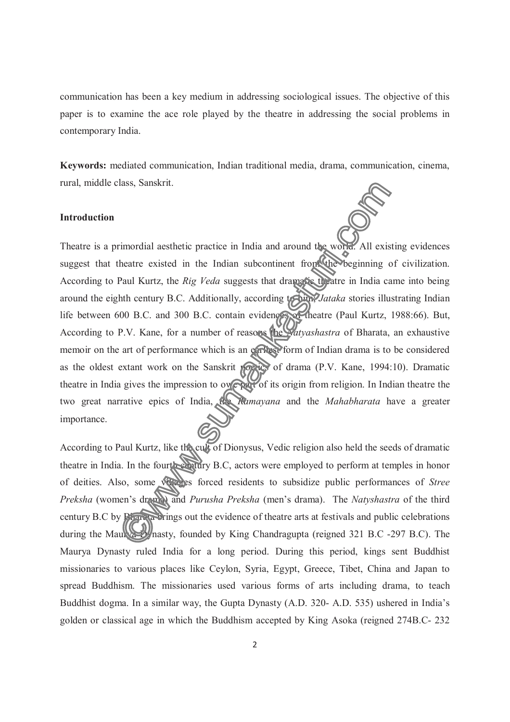communication has been a key medium in addressing sociological issues. The objective of this paper is to examine the ace role played by the theatre in addressing the social problems in contemporary India.

**Keywords:** mediated communication, Indian traditional media, drama, communication, cinema, rural, middle class, Sanskrit.

## **Introduction**

Theatre is a primordial aesthetic practice in India and around the world. All existing evidences suggest that theatre existed in the Indian subcontinent from the beginning of civilization. According to Paul Kurtz, the *Rig Veda* suggests that dramatic theatre in India came into being around the eighth century B.C. Additionally, according to *Jataka* stories illustrating Indian life between 600 B.C. and 300 B.C. contain evidences of theatre (Paul Kurtz, 1988:66). But, According to P.V. Kane, for a number of reasons the *Natyashastra* of Bharata, an exhaustive memoir on the art of performance which is an earliest form of Indian drama is to be considered as the oldest extant work on the Sanskrit poetics of drama (P.V. Kane, 1994:10). Dramatic theatre in India gives the impression to owe part of its origin from religion. In Indian theatre the two great narrative epics of India, the *Ramayana* and the *Mahabharata* have a greater importance.

According to Paul Kurtz, like the cult of Dionysus, Vedic religion also held the seeds of dramatic theatre in India. In the fourth century B.C, actors were employed to perform at temples in honor of deities. Also, some villages forced residents to subsidize public performances of *Stree Preksha* (women's drama) and *Purusha Preksha* (men's drama). The *Natyshastra* of the third century B.C by Bharata brings out the evidence of theatre arts at festivals and public celebrations during the Maurya Dynasty, founded by King Chandragupta (reigned 321 B.C -297 B.C). The Maurya Dynasty ruled India for a long period. During this period, kings sent Buddhist missionaries to various places like Ceylon, Syria, Egypt, Greece, Tibet, China and Japan to spread Buddhism. The missionaries used various forms of arts including drama, to teach Buddhist dogma. In a similar way, the Gupta Dynasty (A.D. 320- A.D. 535) ushered in India's golden or classical age in which the Buddhism accepted by King Asoka (reigned 274B.C- 232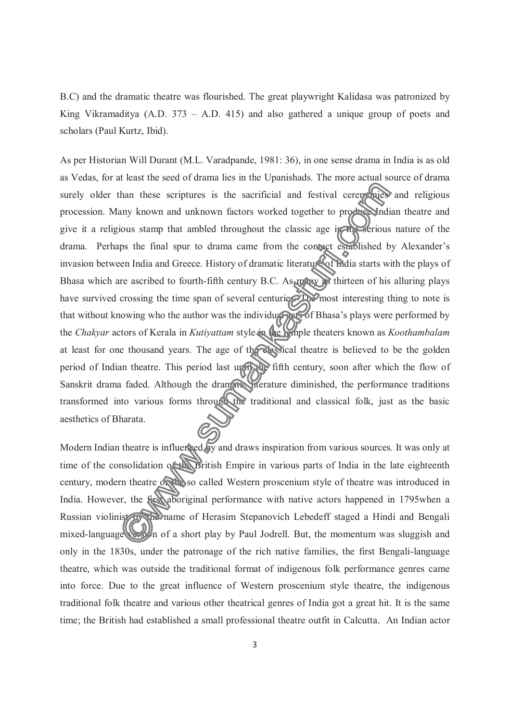B.C) and the dramatic theatre was flourished. The great playwright Kalidasa was patronized by King Vikramaditya (A.D. 373 – A.D. 415) and also gathered a unique group of poets and scholars (Paul Kurtz, Ibid).

As per Historian Will Durant (M.L. Varadpande, 1981: 36), in one sense drama in India is as old as Vedas, for at least the seed of drama lies in the Upanishads. The more actual source of drama surely older than these scriptures is the sacrificial and festival ceremonies and religious procession. Many known and unknown factors worked together to produce Indian theatre and give it a religious stamp that ambled throughout the classic age in the serious nature of the drama. Perhaps the final spur to drama came from the contact established by Alexander's invasion between India and Greece. History of dramatic literature of India starts with the plays of Bhasa which are ascribed to fourth-fifth century B.C. As many is thirteen of his alluring plays have survived crossing the time span of several centuries. The most interesting thing to note is that without knowing who the author was the individual acts of Bhasa's plays were performed by the *Chakyar* actors of Kerala in *Kutiyattam* style in the temple theaters known as *Koothambalam*  at least for one thousand years. The age of the classical theatre is believed to be the golden period of Indian theatre. This period last until the fifth century, soon after which the flow of Sanskrit drama faded. Although the dramatic interature diminished, the performance traditions transformed into various forms through the traditional and classical folk, just as the basic aesthetics of Bharata.

Modern Indian theatre is influenced by and draws inspiration from various sources. It was only at time of the consolidation of the British Empire in various parts of India in the late eighteenth century, modern theatre of the so called Western proscenium style of theatre was introduced in India. However, the first aboriginal performance with native actors happened in 1795when a Russian violinist by the name of Herasim Stepanovich Lebedeff staged a Hindi and Bengali mixed-language version of a short play by Paul Jodrell. But, the momentum was sluggish and only in the 1830s, under the patronage of the rich native families, the first Bengali-language theatre, which was outside the traditional format of indigenous folk performance genres came into force. Due to the great influence of Western proscenium style theatre, the indigenous traditional folk theatre and various other theatrical genres of India got a great hit. It is the same time; the British had established a small professional theatre outfit in Calcutta. An Indian actor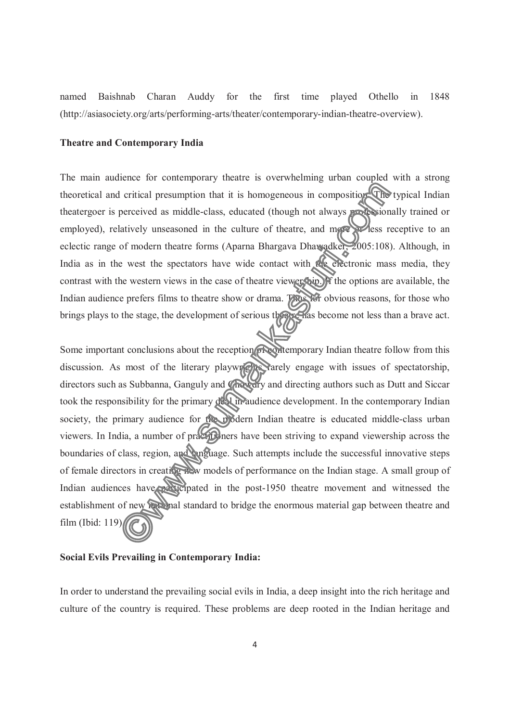named Baishnab Charan Auddy for the first time played Othello in 1848 (http://asiasociety.org/arts/performing-arts/theater/contemporary-indian-theatre-overview).

#### **Theatre and Contemporary India**

The main audience for contemporary theatre is overwhelming urban coupled with a strong theoretical and critical presumption that it is homogeneous in composition. The typical Indian theatergoer is perceived as middle-class, educated (though not always professionally trained or employed), relatively unseasoned in the culture of theatre, and more seems receptive to an eclectic range of modern theatre forms (Aparna Bhargava Dhawadker, 2005:108). Although, in India as in the west the spectators have wide contact with the electronic mass media, they contrast with the western views in the case of theatre viewership. If the options are available, the Indian audience prefers films to theatre show or drama. Thus for obvious reasons, for those who brings plays to the stage, the development of serious theatre has become not less than a brave act.

Some important conclusions about the reception of contemporary Indian theatre follow from this discussion. As most of the literary playwrights rarely engage with issues of spectatorship, directors such as Subbanna, Ganguly and Chowdry and directing authors such as Dutt and Siccar took the responsibility for the primary deal in audience development. In the contemporary Indian society, the primary audience for the modern Indian theatre is educated middle-class urban viewers. In India, a number of practicularies have been striving to expand viewership across the boundaries of class, region, and language. Such attempts include the successful innovative steps of female directors in creating new models of performance on the Indian stage. A small group of Indian audiences have participated in the post-1950 theatre movement and witnessed the establishment of new national standard to bridge the enormous material gap between theatre and film (Ibid: 119).

## **Social Evils Prevailing in Contemporary India:**

In order to understand the prevailing social evils in India, a deep insight into the rich heritage and culture of the country is required. These problems are deep rooted in the Indian heritage and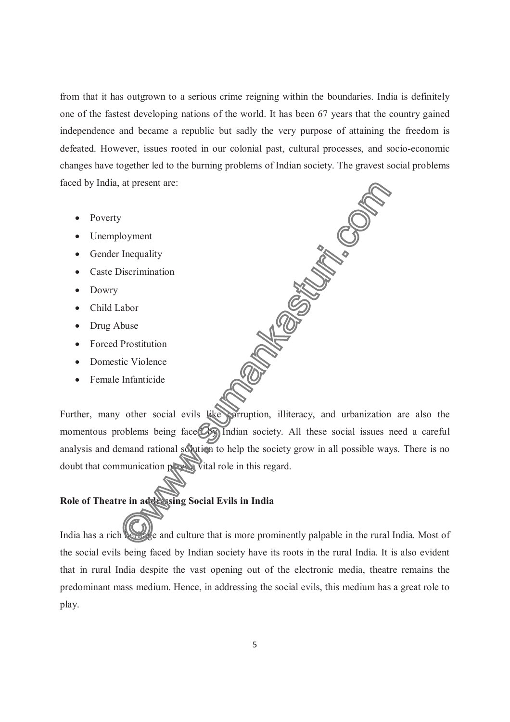from that it has outgrown to a serious crime reigning within the boundaries. India is definitely one of the fastest developing nations of the world. It has been 67 years that the country gained independence and became a republic but sadly the very purpose of attaining the freedom is defeated. However, issues rooted in our colonial past, cultural processes, and socio-economic changes have together led to the burning problems of Indian society. The gravest social problems<br>
faced by India, at present are:<br>
• Poverty<br>
• Unemployment<br>
• Gender Inequality<br>
• Caste Discrimination<br>
• Dowry<br>
• Child La faced by India, at present are:

- Poverty
- Unemployment
- Gender Inequality
- Caste Discrimination
- Dowry
- Child Labor
- Drug Abuse
- Forced Prostitution
- Domestic Violence
- Female Infanticide

Further, many other social evils like porruption, illiteracy, and urbanization are also the momentous problems being face $\left( \mathcal{O}_{\mathcal{F}} \right)$  Indian society. All these social issues need a careful analysis and demand rational solution to help the society grow in all possible ways. There is no doubt that communication plays a vital role in this regard.

## **Role of Theatre in addressing Social Evils in India**

India has a rich heritage and culture that is more prominently palpable in the rural India. Most of the social evils being faced by Indian society have its roots in the rural India. It is also evident that in rural India despite the vast opening out of the electronic media, theatre remains the predominant mass medium. Hence, in addressing the social evils, this medium has a great role to play.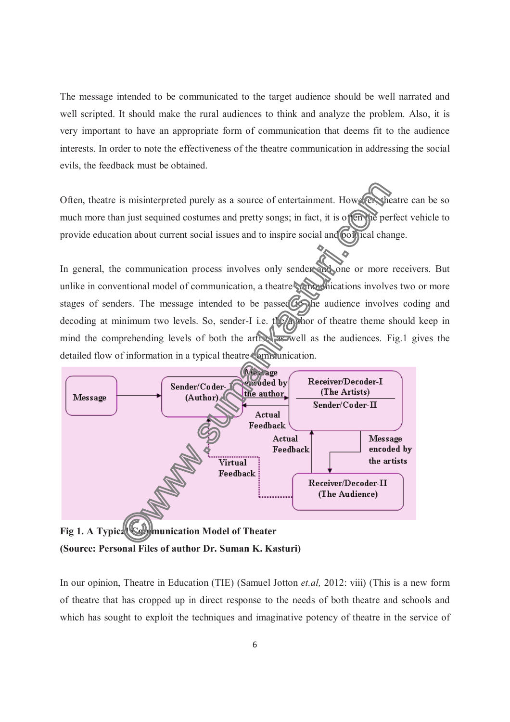The message intended to be communicated to the target audience should be well narrated and well scripted. It should make the rural audiences to think and analyze the problem. Also, it is very important to have an appropriate form of communication that deems fit to the audience interests. In order to note the effectiveness of the theatre communication in addressing the social evils, the feedback must be obtained.

Often, theatre is misinterpreted purely as a source of entertainment. However, theatre can be so much more than just sequined costumes and pretty songs; in fact, it is often the perfect vehicle to provide education about current social issues and to inspire social and political change.

In general, the communication process involves only sender and one or more receivers. But unlike in conventional model of communication, a theatre communications involves two or more stages of senders. The message intended to be passed  $\widehat{G}$  the audience involves coding and decoding at minimum two levels. So, sender-I i.e. the applior of theatre theme should keep in mind the comprehending levels of both the artists  $\frac{1}{\sqrt{1-\frac{1}{n}}}\$  as the audiences. Fig.1 gives the detailed flow of information in a typical theatre communication.



**(Source: Personal Files of author Dr. Suman K. Kasturi)** 

In our opinion, Theatre in Education (TIE) (Samuel Jotton *et.al,* 2012: viii) (This is a new form of theatre that has cropped up in direct response to the needs of both theatre and schools and which has sought to exploit the techniques and imaginative potency of theatre in the service of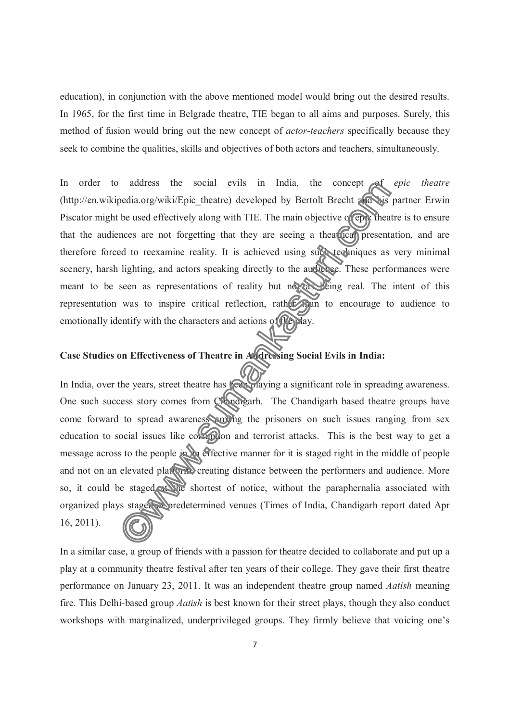education), in conjunction with the above mentioned model would bring out the desired results. In 1965, for the first time in Belgrade theatre, TIE began to all aims and purposes. Surely, this method of fusion would bring out the new concept of *actor-teachers* specifically because they seek to combine the qualities, skills and objectives of both actors and teachers, simultaneously.

In order to address the social evils in India, the concept of *epic theatre* (http://en.wikipedia.org/wiki/Epic\_theatre) developed by Bertolt Brecht and his partner Erwin Piscator might be used effectively along with TIE. The main objective of epic theatre is to ensure that the audiences are not forgetting that they are seeing a theatrical presentation, and are therefore forced to reexamine reality. It is achieved using such techniques as very minimal scenery, harsh lighting, and actors speaking directly to the audience. These performances were meant to be seen as representations of reality but not as being real. The intent of this representation was to inspire critical reflection, rather and to encourage to audience to emotionally identify with the characters and actions of the play.

# **Case Studies on Effectiveness of Theatre in Addressing Social Evils in India:**

In India, over the years, street theatre has been playing a significant role in spreading awareness. One such success story comes from Chandigarh. The Chandigarh based theatre groups have come forward to spread awareness among the prisoners on such issues ranging from sex education to social issues like correction and terrorist attacks. This is the best way to get a message across to the people in an effective manner for it is staged right in the middle of people and not on an elevated platform, creating distance between the performers and audience. More so, it could be staged at the shortest of notice, without the paraphernalia associated with organized plays staged abredetermined venues (Times of India, Chandigarh report dated Apr 16, 2011).

In a similar case, a group of friends with a passion for theatre decided to collaborate and put up a play at a community theatre festival after ten years of their college. They gave their first theatre performance on January 23, 2011. It was an independent theatre group named *Aatish* meaning fire. This Delhi-based group *Aatish* is best known for their street plays, though they also conduct workshops with marginalized, underprivileged groups. They firmly believe that voicing one's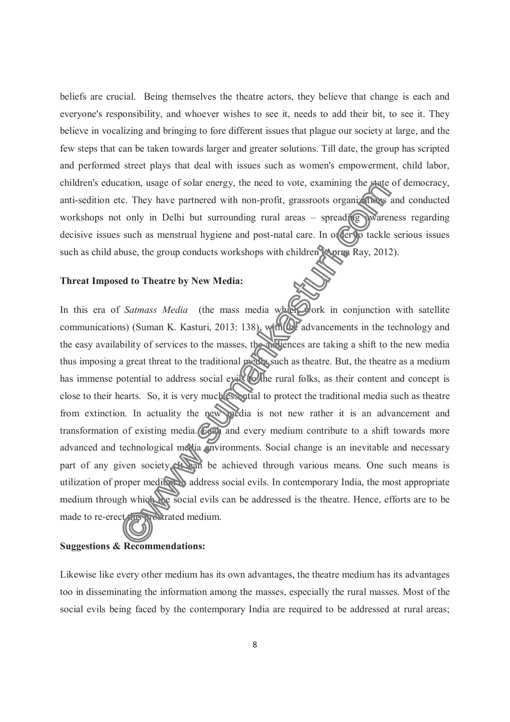beliefs are crucial. Being themselves the theatre actors, they believe that change is each and everyone's responsibility, and whoever wishes to see it, needs to add their bit, to see it. They believe in vocalizing and bringing to fore different issues that plague our society at large, and the few steps that can be taken towards larger and greater solutions. Till date, the group has scripted and performed street plays that deal with issues such as women's empowerment, child labor, children's education, usage of solar energy, the need to vote, examining the state of democracy, anti-sedition etc. They have partnered with non-profit, grassroots organizations and conducted workshops not only in Delhi but surrounding rural areas – spreading awareness regarding decisive issues such as menstrual hygiene and post-natal care. In order to tackle serious issues such as child abuse, the group conducts workshops with children (Aprna Ray, 2012).

## **Threat Imposed to Theatre by New Media:**

In this era of *Satmass Media* (the mass media which work in conjunction with satellite communications) (Suman K. Kasturi, 2013: 138), with the advancements in the technology and the easy availability of services to the masses, the audiences are taking a shift to the new media thus imposing a great threat to the traditional media such as theatre. But, the theatre as a medium has immense potential to address social evils (whe rural folks, as their content and concept is close to their hearts. So, it is very much essential to protect the traditional media such as theatre from extinction. In actuality the new media is not new rather it is an advancement and transformation of existing media. Each and every medium contribute to a shift towards more advanced and technological media environments. Social change is an inevitable and necessary part of any given society. Hean be achieved through various means. One such means is utilization of proper medium address social evils. In contemporary India, the most appropriate medium through which the social evils can be addressed is the theatre. Hence, efforts are to be made to re-erect this prostrated medium.

### **Suggestions & Recommendations:**

Likewise like every other medium has its own advantages, the theatre medium has its advantages too in disseminating the information among the masses, especially the rural masses. Most of the social evils being faced by the contemporary India are required to be addressed at rural areas;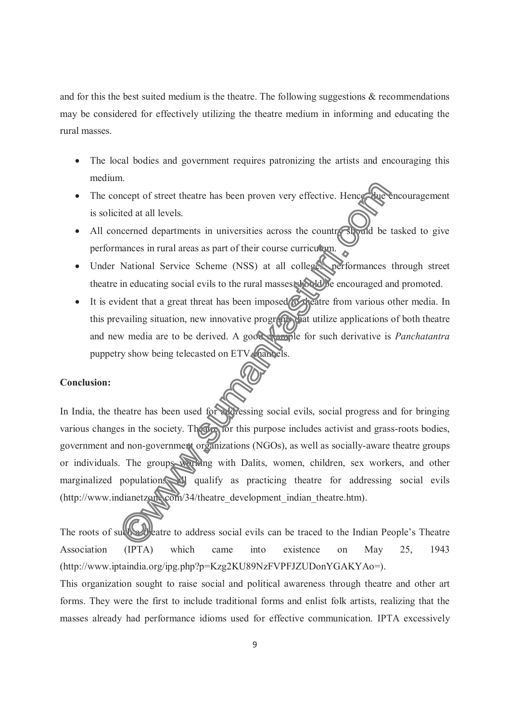and for this the best suited medium is the theatre. The following suggestions  $\&$  recommendations may be considered for effectively utilizing the theatre medium in informing and educating the rural masses.

- The local bodies and government requires patronizing the artists and encouraging this medium.
- The concept of street theatre has been proven very effective. Hence, due encouragement is solicited at all levels.
- All concerned departments in universities across the country should be tasked to give performances in rural areas as part of their course curriculum.
- Under National Service Scheme (NSS) at all colleges performances through street theatre in educating social evils to the rural masses should be encouraged and promoted.
- It is evident that a great threat has been imposed to theatre from various other media. In this prevailing situation, new innovative programs at utilize applications of both theatre and new media are to be derived. A good example for such derivative is *Panchatantra*  puppetry show being telecasted on ETV channels.

## **Conclusion:**

In India, the theatre has been used for addressing social evils, social progress and for bringing various changes in the society. Theatre for this purpose includes activist and grass-roots bodies, government and non-government organizations (NGOs), as well as socially-aware theatre groups or individuals. The groups working with Dalits, women, children, sex workers, and other marginalized population all qualify as practicing theatre for addressing social evils (http://www.indianetzone.com/34/theatre\_development\_indian\_theatre.htm).

The roots of such a theatre to address social evils can be traced to the Indian People's Theatre Association (IPTA) which came into existence on May 25, 1943 (http://www.iptaindia.org/ipg.php?p=Kzg2KU89NzFVPFJZUDonYGAKYAo=).

This organization sought to raise social and political awareness through theatre and other art forms. They were the first to include traditional forms and enlist folk artists, realizing that the masses already had performance idioms used for effective communication. IPTA excessively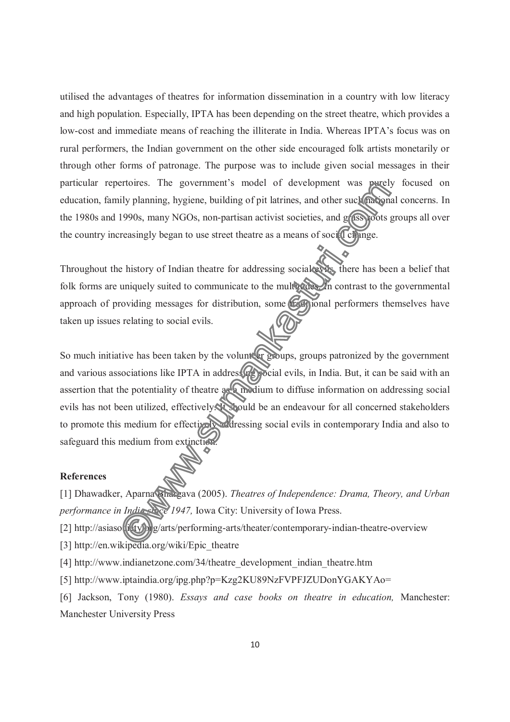utilised the advantages of theatres for information dissemination in a country with low literacy and high population. Especially, IPTA has been depending on the street theatre, which provides a low-cost and immediate means of reaching the illiterate in India. Whereas IPTA's focus was on rural performers, the Indian government on the other side encouraged folk artists monetarily or through other forms of patronage. The purpose was to include given social messages in their particular repertoires. The government's model of development was purely focused on education, family planning, hygiene, building of pit latrines, and other such national concerns. In the 1980s and 1990s, many NGOs, non-partisan activist societies, and grass-poots groups all over the country increasingly began to use street theatre as a means of social change.

Throughout the history of Indian theatre for addressing social evils, there has been a belief that folk forms are uniquely suited to communicate to the multiples. In contrast to the governmental approach of providing messages for distribution, some traditional performers themselves have taken up issues relating to social evils.

So much initiative has been taken by the volunteer groups, groups patronized by the government and various associations like IPTA in addressing social evils, in India. But, it can be said with an assertion that the potentiality of theatre as a medium to diffuse information on addressing social evils has not been utilized, effectively. It should be an endeavour for all concerned stakeholders to promote this medium for effectively addressing social evils in contemporary India and also to safeguard this medium from extinction.

### **References**

[1] Dhawadker, Aparna Bhargava (2005). *Theatres of Independence: Drama, Theory, and Urban performance in India since 1947, Iowa City: University of Iowa Press.* 

[2] http://asiaso $\left(\frac{1}{2}\right)^n$ g/arts/performing-arts/theater/contemporary-indian-theatre-overview

[3] http://en.wikipedia.org/wiki/Epic\_theatre

[4] http://www.indianetzone.com/34/theatre\_development\_indian\_theatre.htm

[5] http://www.iptaindia.org/ipg.php?p=Kzg2KU89NzFVPFJZUDonYGAKYAo=

[6] Jackson, Tony (1980). *Essays and case books on theatre in education,* Manchester: Manchester University Press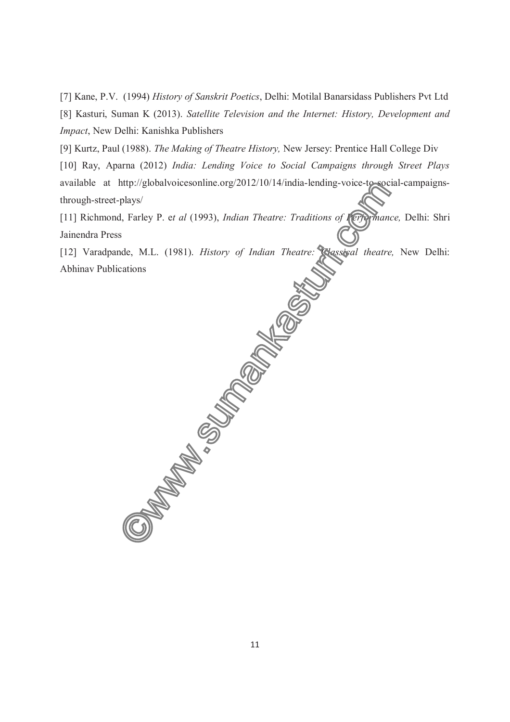[7] Kane, P.V. (1994) *History of Sanskrit Poetics*, Delhi: Motilal Banarsidass Publishers Pvt Ltd [8] Kasturi, Suman K (2013). *Satellite Television and the Internet: History, Development and Impact*, New Delhi: Kanishka Publishers

[9] Kurtz, Paul (1988). *The Making of Theatre History,* New Jersey: Prentice Hall College Div

[10] Ray, Aparna (2012) *India: Lending Voice to Social Campaigns through Street Plays* available at http://globalvoicesonline.org/2012/10/14/india-lending-voice-to-social-campaignsthrough-street-plays/

[11] Richmond, Farley P. e*t al* (1993), *Indian Theatre: Traditions of Performance,* Delhi: Shri Jainendra Press

[12] Varadpande, M.L. (1981). *History of Indian Theatre: Classical theatre,* New Delhi: Abhinav Publications

11